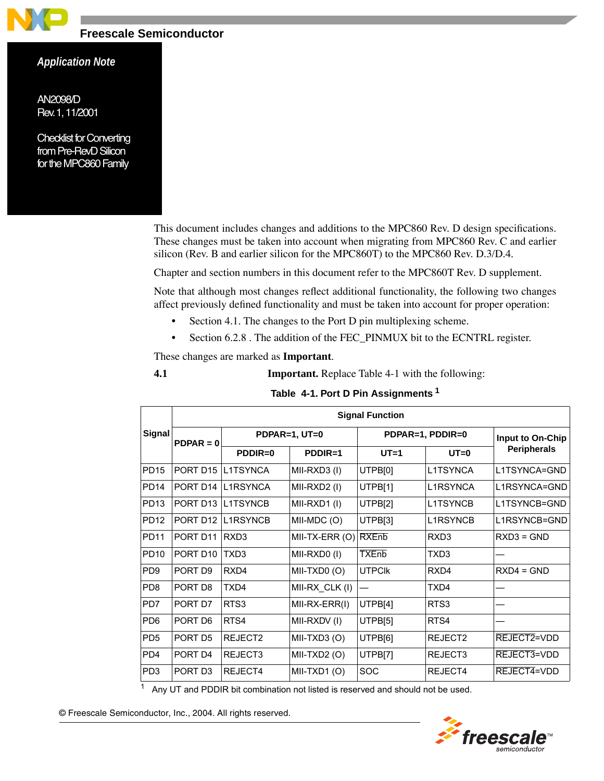

# **Freescale Semiconductor**

# *Application Note*

<span id="page-0-0"></span>*AN2098/D Rev. 1, 11/2001*

*Checklist for Converting from Pre-RevD Silicon for the MPC860 Family*

> This document includes changes and additions to the MPC860 Rev. D design specifications. These changes must be taken into account when migrating from MPC860 Rev. C and earlier silicon (Rev. B and earlier silicon for the MPC860T) to the MPC860 Rev. D.3/D.4.

Chapter and section numbers in this document refer to the MPC860T Rev. D supplement.

Note that although most changes reflect additional functionality, the following two changes affect previously defined functionality and must be taken into account for proper operation:

- Section 4.1. The changes to the Port D pin multiplexing scheme.
- Section 6.2.8 . The addition of the FEC\_PINMUX bit to the ECNTRL register.

These changes are marked as **Important**.

**4.1 Important.** Replace Table 4-1 with the following:

|  |  |  | Table 4-1. Port D Pin Assignments <sup>1</sup> |  |
|--|--|--|------------------------------------------------|--|
|--|--|--|------------------------------------------------|--|

|                  |                      |                  |                | <b>Signal Function</b> |                  |                    |
|------------------|----------------------|------------------|----------------|------------------------|------------------|--------------------|
| Signal           | $PDPAR = 0$          |                  | PDPAR=1, UT=0  |                        | PDPAR=1, PDDIR=0 | Input to On-Chip   |
|                  |                      | $PDDIR=0$        | $PDDIR=1$      | $UT=1$                 | $UT=0$           | <b>Peripherals</b> |
| <b>PD15</b>      | PORT D <sub>15</sub> | L1TSYNCA         | MII-RXD3 (I)   | UTPB[0]                | L1TSYNCA         | L1TSYNCA=GND       |
| <b>PD14</b>      | PORT D <sub>14</sub> | I 1RSYNCA        | MII-RXD2 (I)   | UTPB[1]                | I 1RSYNCA        | L1RSYNCA=GND       |
| PD <sub>13</sub> | PORT D <sub>13</sub> | <b>I 1TSYNCB</b> | MII-RXD1(I)    | UTPB[2]                | <b>I 1TSYNCB</b> | I 1TSYNCB=GND      |
| <b>PD12</b>      | PORT D <sub>12</sub> | <b>L1RSYNCB</b>  | MII-MDC (O)    | UTPB[3]                | L1RSYNCB         | L1RSYNCB=GND       |
| <b>PD11</b>      | PORT D11             | RXD <sub>3</sub> | MII-TX-ERR (O) | <b>RXEnb</b>           | RXD <sub>3</sub> | $RXD3 = GND$       |
| <b>PD10</b>      | PORT D <sub>10</sub> | TXD <sub>3</sub> | MII-RXD0(I)    | <b>TXEnb</b>           | TXD3             |                    |
| PD <sub>9</sub>  | PORT D <sub>9</sub>  | RX <sub>D4</sub> | MII-TXD0(O)    | <b>UTPCIK</b>          | RX <sub>D4</sub> | $RXD4 = GND$       |
| PD <sub>8</sub>  | PORT D8              | TXD4             | MII-RX CLK (I) |                        | TXD4             |                    |
| PD <sub>7</sub>  | PORT D7              | RTS3             | MII-RX-ERR(I)  | UTPB[4]                | RTS3             |                    |
| PD <sub>6</sub>  | PORT D6              | RTS4             | MII-RXDV (I)   | UTPB[5]                | RTS4             |                    |
| PD <sub>5</sub>  | PORT D <sub>5</sub>  | RFJFCT2          | MII-TXD3 (O)   | UTPB[6]                | RFJFCT2          | REJECT2=VDD        |
| P <sub>D</sub> 4 | PORT D4              | REJECT3          | MII-TXD2 (O)   | UTPB[7]                | REJECT3          | REJECT3=VDD        |
| PD <sub>3</sub>  | PORT D <sub>3</sub>  | REJECT4          | MII-TXD1(O)    | <b>SOC</b>             | REJECT4          | REJECT4=VDD        |

 $1$  Any UT and PDDIR bit combination not listed is reserved and should not be used.



© Freescale Semiconductor, Inc., 2004. All rights reserved.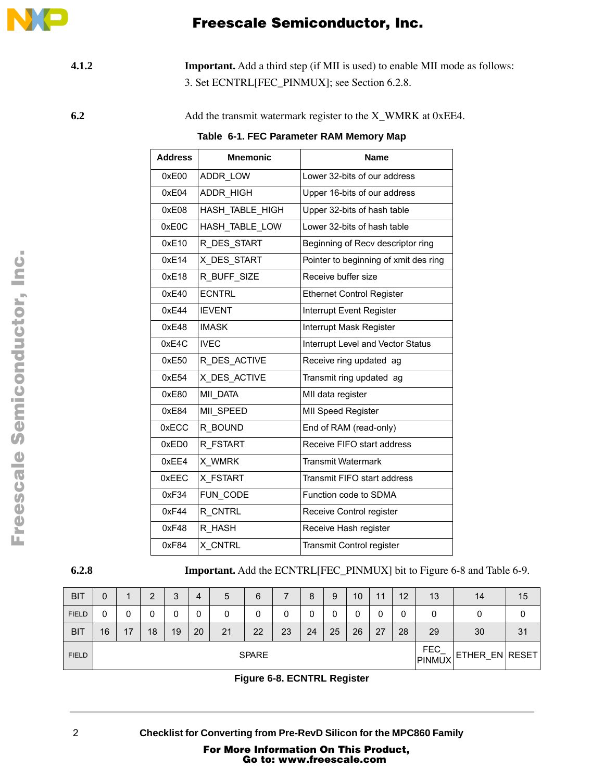

**4.1.2** Important. Add a third step (if MII is used) to enable MII mode as follows: 3. Set ECNTRL[FEC\_PINMUX]; see Section 6.2.8.

**6.2** Add the transmit watermark register to the X\_WMRK at 0xEE4.

**Table 6-1. FEC Parameter RAM Memory Map** 

| <b>Address</b> | <b>Mnemonic</b> | <b>Name</b>                           |
|----------------|-----------------|---------------------------------------|
| 0xE00          | ADDR LOW        | Lower 32-bits of our address          |
| 0xE04          | ADDR HIGH       | Upper 16-bits of our address          |
| 0xE08          | HASH TABLE HIGH | Upper 32-bits of hash table           |
| 0xE0C          | HASH TABLE LOW  | Lower 32-bits of hash table           |
| 0xE10          | R DES START     | Beginning of Recv descriptor ring     |
| 0xE14          | X DES START     | Pointer to beginning of xmit des ring |
| 0xE18          | R BUFF SIZE     | Receive buffer size                   |
| 0xE40          | <b>ECNTRL</b>   | <b>Ethernet Control Register</b>      |
| 0xE44          | <b>IEVENT</b>   | Interrupt Event Register              |
| 0xE48          | <b>IMASK</b>    | Interrupt Mask Register               |
| 0xE4C          | <b>IVEC</b>     | Interrupt Level and Vector Status     |
| 0xE50          | R_DES_ACTIVE    | Receive ring updated ag               |
| 0xE54          | X DES ACTIVE    | Transmit ring updated ag              |
| 0xE80          | MII DATA        | MII data register                     |
| 0xE84          | MII SPEED       | MII Speed Register                    |
| 0xECC          | R BOUND         | End of RAM (read-only)                |
| 0xED0          | R FSTART        | Receive FIFO start address            |
| 0xEE4          | X WMRK          | <b>Transmit Watermark</b>             |
| 0xEEC          | X FSTART        | Transmit FIFO start address           |
| 0xF34          | FUN CODE        | Function code to SDMA                 |
| 0xF44          | R CNTRL         | Receive Control register              |
| 0xF48          | R HASH          | Receive Hash register                 |
| 0xF84          | X CNTRL         | Transmit Control register             |

**6.2.8** Important. Add the ECNTRL[FEC\_PINMUX] bit to Figure 6-8 and Table 6-9.

| <b>BIT</b>   | 0            |    | ⌒  | ◠<br>ັ | 4  | 5  | 6  |    | 8  | 9                    | 10             | 11 | 12 | 13 | 14 | 15 |
|--------------|--------------|----|----|--------|----|----|----|----|----|----------------------|----------------|----|----|----|----|----|
| <b>FIELD</b> | 0            | υ  | 0  | υ      |    |    | 0  |    |    | υ                    | 0              |    | 0  | U  |    | υ  |
| <b>BIT</b>   | 16           | 17 | 18 | 19     | 20 | 21 | 22 | 23 | 24 | 25                   | 26             | 27 | 28 | 29 | 30 | 31 |
| <b>FIELD</b> | <b>SPARE</b> |    |    |        |    |    |    |    |    | <b>FEC</b><br>PINMUX | ETHER EN RESET |    |    |    |    |    |

**Figure 6-8. ECNTRL Register**

For More Information On This Product, Go to: www.freescale.com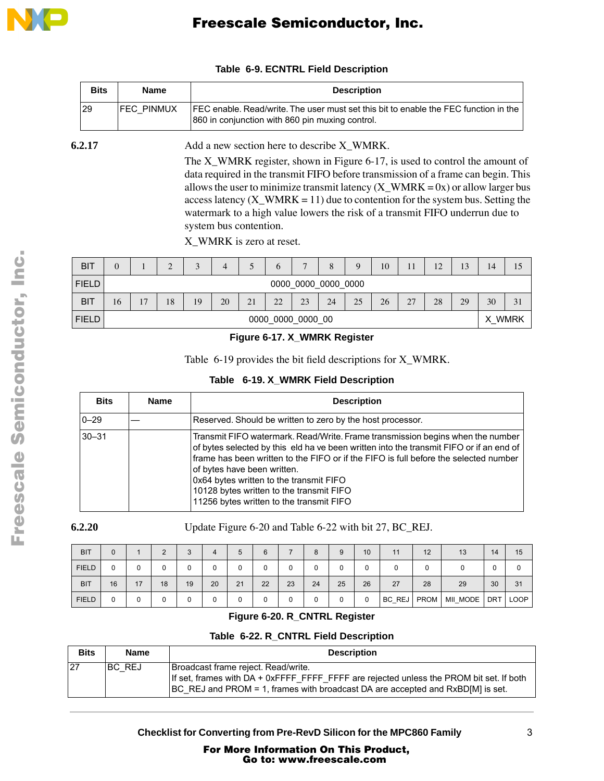

|        | <b>Bits</b> | <b>Name</b>       | <b>Description</b>                                                                                                                                                                                                                                                                                                                                                                                                                                  |
|--------|-------------|-------------------|-----------------------------------------------------------------------------------------------------------------------------------------------------------------------------------------------------------------------------------------------------------------------------------------------------------------------------------------------------------------------------------------------------------------------------------------------------|
|        | 29          | <b>FEC PINMUX</b> | FEC enable. Read/write. The user must set this bit to enable the FEC function in the<br>860 in conjunction with 860 pin muxing control.                                                                                                                                                                                                                                                                                                             |
| 6.2.17 |             |                   | Add a new section here to describe X_WMRK.                                                                                                                                                                                                                                                                                                                                                                                                          |
|        |             |                   | The X_WMRK register, shown in Figure 6-17, is used to control the amount of<br>data required in the transmit FIFO before transmission of a frame can begin. This<br>allows the user to minimize transmit latency $(X_WMRK = 0x)$ or allow larger bus<br>access latency $(X_$ WMRK = 11) due to contention for the system bus. Setting the<br>watermark to a high value lowers the risk of a transmit FIFO underrun due to<br>system bus contention. |

### **Table 6-9. ECNTRL Field Description**

X\_WMRK is zero at reset.

| <b>BIT</b>   | $\Omega$ |                     | $\bigcap$<br>∠ | $\bigcap$ | 4  |    | O  |    | 8      | 9  | 10 |    | 12 | 13 | 14 | 15 |
|--------------|----------|---------------------|----------------|-----------|----|----|----|----|--------|----|----|----|----|----|----|----|
| <b>FIELD</b> |          | 0000 0000 0000 0000 |                |           |    |    |    |    |        |    |    |    |    |    |    |    |
| <b>BIT</b>   | 16       | 17                  | 18             | 19        | 20 | 21 | 22 | 23 | 24     | 25 | 26 | 27 | 28 | 29 | 30 | 31 |
| <b>FIELD</b> |          | 0000 0000 0000 00   |                |           |    |    |    |    | X WMRK |    |    |    |    |    |    |    |

### **Figure 6-17. X\_WMRK Register**

[Table](#page-2-0) 6-19 provides the bit field descriptions for X\_WMRK.

### **Table 6-19. X\_WMRK Field Description**

<span id="page-2-0"></span>

| <b>Bits</b> | <b>Name</b> | <b>Description</b>                                                                                                                                                                                                                                                                                                                                                                                                                  |
|-------------|-------------|-------------------------------------------------------------------------------------------------------------------------------------------------------------------------------------------------------------------------------------------------------------------------------------------------------------------------------------------------------------------------------------------------------------------------------------|
| $0 - 29$    |             | Reserved. Should be written to zero by the host processor.                                                                                                                                                                                                                                                                                                                                                                          |
| $30 - 31$   |             | Transmit FIFO watermark. Read/Write. Frame transmission begins when the number<br>of bytes selected by this eld ha ve been written into the transmit FIFO or if an end of<br>frame has been written to the FIFO or if the FIFO is full before the selected number<br>of bytes have been written.<br>0x64 bytes written to the transmit FIFO<br>10128 bytes written to the transmit FIFO<br>11256 bytes written to the transmit FIFO |

**6.2.20** Update Figure 6-20 and Table 6-22 with bit 27, BC\_REJ.

| <b>BIT</b>   |    |    |    | 3  | 4  | 5  | 6  |    | 8  | 9  | 10 | 11     | 12          | 13       | 14         | 15          |
|--------------|----|----|----|----|----|----|----|----|----|----|----|--------|-------------|----------|------------|-------------|
| <b>FIELD</b> |    | 0  |    |    | 0  | 0  |    |    | 0  |    |    |        |             |          | υ          |             |
| <b>BIT</b>   | 16 | 17 | 18 | 19 | 20 | 21 | 22 | 23 | 24 | 25 | 26 | 27     | 28          | 29       | 30         | 31          |
| <b>FIELD</b> |    | 0  |    |    |    | 0  |    |    | 0  |    |    | BC_REJ | <b>PROM</b> | MII MODE | <b>DRT</b> | <b>LOOP</b> |

## **Figure 6-20. R\_CNTRL Register**

# **Table 6-22. R\_CNTRL Field Description**

| <b>Bits</b> | <b>Name</b> | <b>Description</b>                                                                                                                                                                                                |
|-------------|-------------|-------------------------------------------------------------------------------------------------------------------------------------------------------------------------------------------------------------------|
| 27          | IBC REJ     | Broadcast frame reject. Read/write.<br>If set, frames with DA + 0xFFFF_FFFF_FFFF are rejected unless the PROM bit set. If both<br>[BC REJ and PROM = 1, frames with broadcast DA are accepted and RxBD[M] is set. |

**Checklist for Converting from Pre-RevD Silicon for the MPC860 Family** 3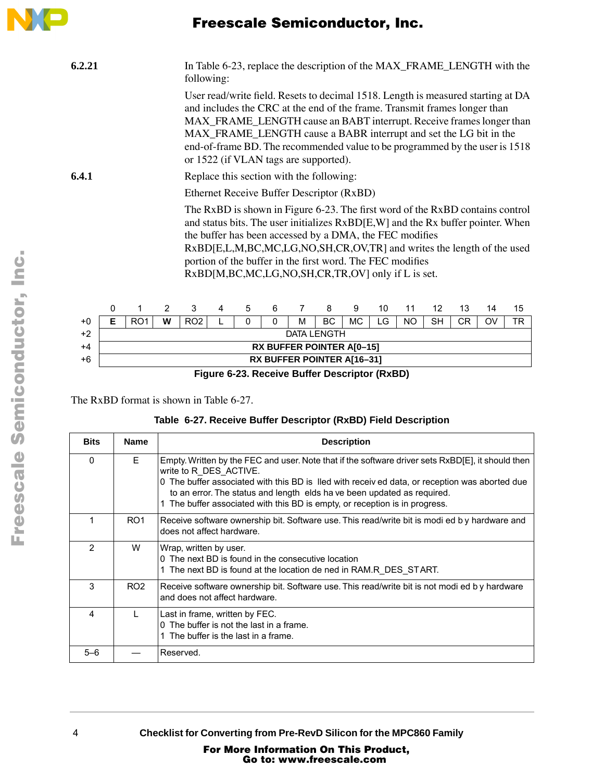

# Freescale Semiconductor, Inc.

| 6.2.21 |                                           |                 |   | following:      |                                          |              |          |                                                                                                                                                                           |           |    |    |           |           |     | In Table 6-23, replace the description of the MAX_FRAME_LENGTH with the                                                                                                                                                                                                                               |                                                                                                                                                                  |
|--------|-------------------------------------------|-----------------|---|-----------------|------------------------------------------|--------------|----------|---------------------------------------------------------------------------------------------------------------------------------------------------------------------------|-----------|----|----|-----------|-----------|-----|-------------------------------------------------------------------------------------------------------------------------------------------------------------------------------------------------------------------------------------------------------------------------------------------------------|------------------------------------------------------------------------------------------------------------------------------------------------------------------|
|        |                                           |                 |   |                 |                                          |              |          | or 1522 (if VLAN tags are supported).                                                                                                                                     |           |    |    |           |           |     | and includes the CRC at the end of the frame. Transmit frames longer than<br>MAX_FRAME_LENGTH cause an BABT interrupt. Receive frames longer than<br>MAX_FRAME_LENGTH cause a BABR interrupt and set the LG bit in the<br>end-of-frame BD. The recommended value to be programmed by the user is 1518 | User read/write field. Resets to decimal 1518. Length is measured starting at DA                                                                                 |
| 6.4.1  |                                           |                 |   |                 | Replace this section with the following: |              |          |                                                                                                                                                                           |           |    |    |           |           |     |                                                                                                                                                                                                                                                                                                       |                                                                                                                                                                  |
|        | Ethernet Receive Buffer Descriptor (RxBD) |                 |   |                 |                                          |              |          |                                                                                                                                                                           |           |    |    |           |           |     |                                                                                                                                                                                                                                                                                                       |                                                                                                                                                                  |
|        |                                           |                 |   |                 |                                          |              |          | the buffer has been accessed by a DMA, the FEC modifies<br>portion of the buffer in the first word. The FEC modifies<br>RxBD[M,BC,MC,LG,NO,SH,CR,TR,OV] only if L is set. |           |    |    |           |           |     | RxBD[E,L,M,BC,MC,LG,NO,SH,CR,OV,TR] and writes the length of the used                                                                                                                                                                                                                                 | The RxBD is shown in Figure 6-23. The first word of the RxBD contains control<br>and status bits. The user initializes RxBD[E,W] and the Rx buffer pointer. When |
|        | 0                                         | 1               | 2 | 3               | 4                                        | 5            | 6        | 7                                                                                                                                                                         | 8         | 9  | 10 | 11        | 12        | 13  | 14                                                                                                                                                                                                                                                                                                    | 15                                                                                                                                                               |
| $+0$   | Е                                         | RO <sub>1</sub> | W | RO <sub>2</sub> | L                                        | $\mathbf{0}$ | $\Omega$ | M                                                                                                                                                                         | <b>BC</b> | MC | LG | <b>NO</b> | <b>SH</b> | CR. | OV                                                                                                                                                                                                                                                                                                    | TR                                                                                                                                                               |
| $+2$   |                                           |                 |   |                 |                                          |              |          | <b>DATA LENGTH</b>                                                                                                                                                        |           |    |    |           |           |     |                                                                                                                                                                                                                                                                                                       |                                                                                                                                                                  |
| $+4$   |                                           |                 |   |                 |                                          |              |          | <b>RX BUFFER POINTER A[0-15]</b>                                                                                                                                          |           |    |    |           |           |     |                                                                                                                                                                                                                                                                                                       |                                                                                                                                                                  |

+6 **RX BUFFER POINTER A[16–31]**

**Figure 6-23. Receive Buffer Descriptor (RxBD)**

The RxBD format is shown in Table 6-27.

|  |  |  |  |  |  | Table 6-27. Receive Buffer Descriptor (RxBD) Field Description |  |
|--|--|--|--|--|--|----------------------------------------------------------------|--|
|--|--|--|--|--|--|----------------------------------------------------------------|--|

| <b>Bits</b> | <b>Name</b>     | <b>Description</b>                                                                                                                                                                                                                                                                                                                                                                    |
|-------------|-----------------|---------------------------------------------------------------------------------------------------------------------------------------------------------------------------------------------------------------------------------------------------------------------------------------------------------------------------------------------------------------------------------------|
| $\Omega$    | F.              | Empty. Written by the FEC and user. Note that if the software driver sets RxBD[E], it should then<br>write to R DES ACTIVE.<br>0 The buffer associated with this BD is lled with receiv ed data, or reception was aborted due<br>to an error. The status and length elds ha ve been updated as required.<br>The buffer associated with this BD is empty, or reception is in progress. |
| 1           | RO <sub>1</sub> | Receive software ownership bit. Software use. This read/write bit is modi ed by hardware and<br>does not affect hardware.                                                                                                                                                                                                                                                             |
| 2           | W               | Wrap, written by user.<br>0 The next BD is found in the consecutive location<br>1 The next BD is found at the location de ned in RAM.R DES START.                                                                                                                                                                                                                                     |
| 3           | RO <sub>2</sub> | Receive software ownership bit. Software use. This read/write bit is not modi ed by hardware<br>and does not affect hardware.                                                                                                                                                                                                                                                         |
| 4           |                 | Last in frame, written by FEC.<br>0 The buffer is not the last in a frame.<br>1 The buffer is the last in a frame.                                                                                                                                                                                                                                                                    |
| $5 - 6$     |                 | Reserved.                                                                                                                                                                                                                                                                                                                                                                             |

4 **Checklist for Converting from Pre-RevD Silicon for the MPC860 Family**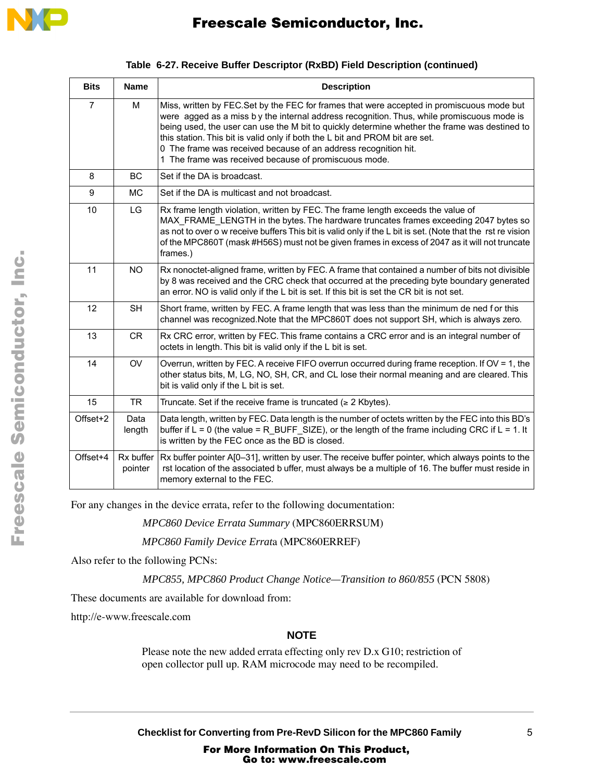

| <b>Bits</b>    | <b>Name</b>    | <b>Description</b>                                                                                                                                                                                                                                                                                                                                                                                                                                                                                     |
|----------------|----------------|--------------------------------------------------------------------------------------------------------------------------------------------------------------------------------------------------------------------------------------------------------------------------------------------------------------------------------------------------------------------------------------------------------------------------------------------------------------------------------------------------------|
| $\overline{7}$ | M              | Miss, written by FEC.Set by the FEC for frames that were accepted in promiscuous mode but<br>were agged as a miss $b y$ the internal address recognition. Thus, while promiscuous mode is<br>being used, the user can use the M bit to quickly determine whether the frame was destined to<br>this station. This bit is valid only if both the L bit and PROM bit are set.<br>0 The frame was received because of an address recognition hit.<br>1 The frame was received because of promiscuous mode. |
| 8              | BC.            | Set if the DA is broadcast.                                                                                                                                                                                                                                                                                                                                                                                                                                                                            |
| 9              | <b>MC</b>      | Set if the DA is multicast and not broadcast.                                                                                                                                                                                                                                                                                                                                                                                                                                                          |
| 10             | LG.            | Rx frame length violation, written by FEC. The frame length exceeds the value of<br>MAX_FRAME_LENGTH in the bytes. The hardware truncates frames exceeding 2047 bytes so<br>as not to over o w receive buffers This bit is valid only if the L bit is set. (Note that the rst re vision<br>of the MPC860T (mask #H56S) must not be given frames in excess of 2047 as it will not truncate<br>frames.)                                                                                                  |
| 11             | <b>NO</b>      | Rx nonoctet-aligned frame, written by FEC. A frame that contained a number of bits not divisible<br>by 8 was received and the CRC check that occurred at the preceding byte boundary generated<br>an error. NO is valid only if the L bit is set. If this bit is set the CR bit is not set.                                                                                                                                                                                                            |
| 12             | <b>SH</b>      | Short frame, written by FEC. A frame length that was less than the minimum de ned for this<br>channel was recognized.Note that the MPC860T does not support SH, which is always zero.                                                                                                                                                                                                                                                                                                                  |
| 13             | <b>CR</b>      | Rx CRC error, written by FEC. This frame contains a CRC error and is an integral number of<br>octets in length. This bit is valid only if the L bit is set.                                                                                                                                                                                                                                                                                                                                            |
| 14             | OV             | Overrun, written by FEC. A receive FIFO overrun occurred during frame reception. If OV = 1, the<br>other status bits, M, LG, NO, SH, CR, and CL lose their normal meaning and are cleared. This<br>bit is valid only if the L bit is set.                                                                                                                                                                                                                                                              |
| 15             | <b>TR</b>      | Truncate. Set if the receive frame is truncated ( $\geq 2$ Kbytes).                                                                                                                                                                                                                                                                                                                                                                                                                                    |
| Offset+2       | Data<br>length | Data length, written by FEC. Data length is the number of octets written by the FEC into this BD's<br>buffer if $L = 0$ (the value = R_BUFF_SIZE), or the length of the frame including CRC if $L = 1$ . It<br>is written by the FEC once as the BD is closed.                                                                                                                                                                                                                                         |
| Offset+4       | pointer        | Rx buffer Rx buffer pointer A[0-31], written by user. The receive buffer pointer, which always points to the<br>rst location of the associated b uffer, must always be a multiple of 16. The buffer must reside in<br>memory external to the FEC.                                                                                                                                                                                                                                                      |

For any changes in the device errata, refer to the following documentation:

*MPC860 Device Errata Summary* (MPC860ERRSUM)

*MPC860 Family Device Errat*a (MPC860ERREF)

Also refer to the following PCNs:

*MPC855, MPC860 Product Change Notice—Transition to 860/855* (PCN 5808)

These documents are available for download from:

http://e-www.freescale.com

# **NOTE**

Please note the new added errata effecting only rev D.x G10; restriction of open collector pull up. RAM microcode may need to be recompiled.

**Checklist for Converting from Pre-RevD Silicon for the MPC860 Family** 5

For More Information On This Product, Go to: www.freescale.com